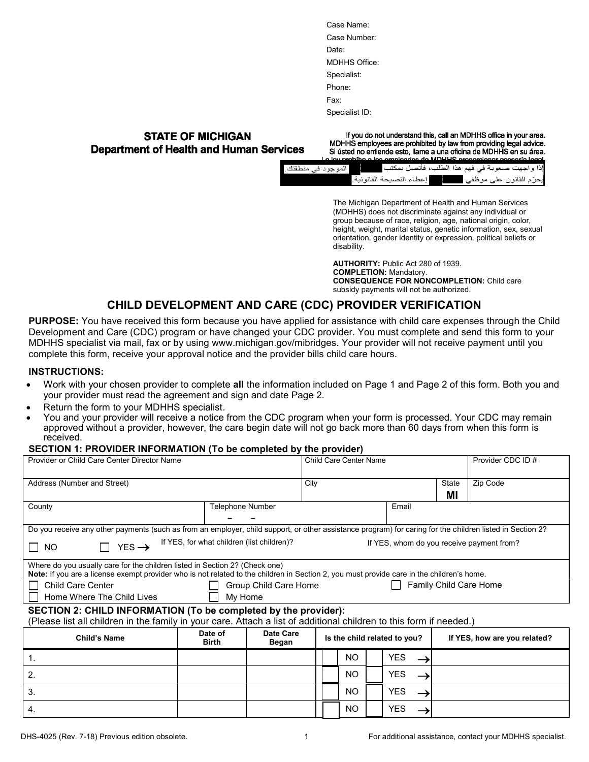| Case Name:           |
|----------------------|
| Case Number:         |
| Date:                |
| <b>MDHHS Office:</b> |
| Specialist:          |
| Phone:               |
| Fax <sup>-</sup>     |
| Specialist ID:       |

### **STATE OF MICHIGAN Department of Health and Human Services**

If you do not understand this, call an MDHHS office in your area. MDHHS employees are prohibited by law from providing legal advice. Si ústed no entiende esto, llame a una oficina de MDHHS en su área.

|                                                                           | La lov nrohiho a los omnioscios do MLIHHS nronorcionar asseoria logal |
|---------------------------------------------------------------------------|-----------------------------------------------------------------------|
| إذا واجهت صعوبة في فهم هذا الطلب، فأتصل بمكتب مسمح المسلموجود في منطقتك . |                                                                       |
|                                                                           | يحرّم القانون على موظفي مسمع المعطاء النصيحة القانونية.               |

The Michigan Department of Health and Human Services (MDHHS) does not discriminate against any individual or group because of race, religion, age, national origin, color, height, weight, marital status, genetic information, sex, sexual orientation, gender identity or expression, political beliefs or disability.

**AUTHORITY:** Public Act 280 of 1939. **COMPLETION:** Mandatory. **CONSEQUENCE FOR NONCOMPLETION:** Child care subsidy payments will not be authorized.

# **CHILD DEVELOPMENT AND CARE (CDC) PROVIDER VERIFICATION**

**PURPOSE:** You have received this form because you have applied for assistance with child care expenses through the Child Development and Care (CDC) program or have changed your CDC provider. You must complete and send this form to your MDHHS specialist via mail, fax or by using www.michigan.gov/mibridges. Your provider will not receive payment until you complete this form, receive your approval notice and the provider bills child care hours.

#### **INSTRUCTIONS:**

- Work with your chosen provider to complete **all** the information included on Page 1 and Page 2 of this form. Both you and your provider must read the agreement and sign and date Page 2.
- Return the form to your MDHHS specialist.
- You and your provider will receive a notice from the CDC program when your form is processed. Your CDC may remain approved without a provider, however, the care begin date will not go back more than 60 days from when this form is received.

#### **SECTION 1: PROVIDER INFORMATION (To be completed by the provider)**

| Provider or Child Care Center Director Name                                                                                                                                                                                                                                                                                                             |                         |                    | <b>Child Care Center Name</b> |     |  |                              | Provider CDC ID # |                              |
|---------------------------------------------------------------------------------------------------------------------------------------------------------------------------------------------------------------------------------------------------------------------------------------------------------------------------------------------------------|-------------------------|--------------------|-------------------------------|-----|--|------------------------------|-------------------|------------------------------|
| Address (Number and Street)                                                                                                                                                                                                                                                                                                                             |                         |                    | City                          |     |  |                              | State<br>МI       | Zip Code                     |
| County                                                                                                                                                                                                                                                                                                                                                  |                         | Telephone Number   |                               |     |  | Email                        |                   |                              |
| Do you receive any other payments (such as from an employer, child support, or other assistance program) for caring for the children listed in Section 2?<br>If YES, for what children (list children)?<br>If YES, whom do you receive payment from?<br>$YES \rightarrow$<br>$\Box$ NO                                                                  |                         |                    |                               |     |  |                              |                   |                              |
| Where do you usually care for the children listed in Section 2? (Check one)<br>Note: If you are a license exempt provider who is not related to the children in Section 2, you must provide care in the children's home.<br><b>Family Child Care Home</b><br><b>Child Care Center</b><br>Group Child Care Home<br>Home Where The Child Lives<br>My Home |                         |                    |                               |     |  |                              |                   |                              |
| SECTION 2: CHILD INFORMATION (To be completed by the provider):<br>(Please list all children in the family in your care. Attach a list of additional children to this form if needed.)                                                                                                                                                                  |                         |                    |                               |     |  |                              |                   |                              |
| Child's Name                                                                                                                                                                                                                                                                                                                                            | Date of<br><b>Birth</b> | Date Care<br>Began |                               |     |  | Is the child related to you? |                   | If YES, how are you related? |
| 1.                                                                                                                                                                                                                                                                                                                                                      |                         |                    |                               | NO. |  | YES                          |                   |                              |
| 2.                                                                                                                                                                                                                                                                                                                                                      |                         |                    |                               | NO. |  | <b>YES</b>                   |                   |                              |
| 3.                                                                                                                                                                                                                                                                                                                                                      |                         |                    |                               | NO. |  | <b>YES</b>                   |                   |                              |
| 4.                                                                                                                                                                                                                                                                                                                                                      |                         |                    |                               | NO. |  | <b>YES</b>                   |                   |                              |